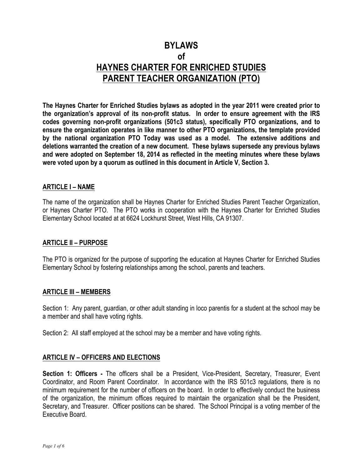# **BYLAWS of HAYNES CHARTER FOR ENRICHED STUDIES PARENT TEACHER ORGANIZATION (PTO)**

**The Haynes Charter for Enriched Studies bylaws as adopted in the year 2011 were created prior to the organization's approval of its non-profit status. In order to ensure agreement with the IRS codes governing non-profit organizations (501c3 status), specifically PTO organizations, and to ensure the organization operates in like manner to other PTO organizations, the template provided by the national organization PTO Today was used as a model. The extensive additions and deletions warranted the creation of a new document. These bylaws supersede any previous bylaws and were adopted on September 18, 2014 as reflected in the meeting minutes where these bylaws were voted upon by a quorum as outlined in this document in Article V, Section 3.**

# **ARTICLE I – NAME**

The name of the organization shall be Haynes Charter for Enriched Studies Parent Teacher Organization, or Haynes Charter PTO. The PTO works in cooperation with the Haynes Charter for Enriched Studies Elementary School located at at 6624 Lockhurst Street, West Hills, CA 91307.

## **ARTICLE II – PURPOSE**

The PTO is organized for the purpose of supporting the education at Haynes Charter for Enriched Studies Elementary School by fostering relationships among the school, parents and teachers.

## **ARTICLE III – MEMBERS**

Section 1: Any parent, guardian, or other adult standing in loco parentis for a student at the school may be a member and shall have voting rights.

Section 2: All staff employed at the school may be a member and have voting rights.

# **ARTICLE IV – OFFICERS AND ELECTIONS**

**Section 1: Officers -** The officers shall be a President, Vice-President, Secretary, Treasurer, Event Coordinator, and Room Parent Coordinator. In accordance with the IRS 501c3 regulations, there is no minimum requirement for the number of officers on the board. In order to effectively conduct the business of the organization, the minimum offices required to maintain the organization shall be the President, Secretary, and Treasurer. Officer positions can be shared. The School Principal is a voting member of the Executive Board.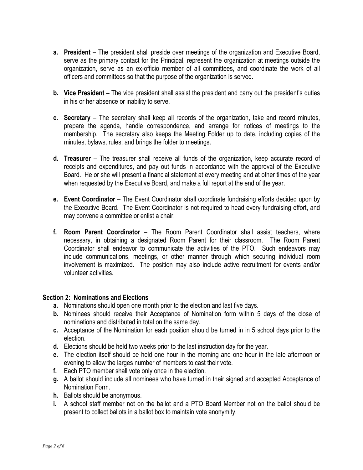- **a. President** The president shall preside over meetings of the organization and Executive Board, serve as the primary contact for the Principal, represent the organization at meetings outside the organization, serve as an ex-officio member of all committees, and coordinate the work of all officers and committees so that the purpose of the organization is served.
- **b. Vice President**  The vice president shall assist the president and carry out the president's duties in his or her absence or inability to serve.
- **c. Secretary**  The secretary shall keep all records of the organization, take and record minutes, prepare the agenda, handle correspondence, and arrange for notices of meetings to the membership. The secretary also keeps the Meeting Folder up to date, including copies of the minutes, bylaws, rules, and brings the folder to meetings.
- **d. Treasurer**  The treasurer shall receive all funds of the organization, keep accurate record of receipts and expenditures, and pay out funds in accordance with the approval of the Executive Board. He or she will present a financial statement at every meeting and at other times of the year when requested by the Executive Board, and make a full report at the end of the year.
- **e. Event Coordinator** The Event Coordinator shall coordinate fundraising efforts decided upon by the Executive Board. The Event Coordinator is not required to head every fundraising effort, and may convene a committee or enlist a chair.
- **f. Room Parent Coordinator** The Room Parent Coordinator shall assist teachers, where necessary, in obtaining a designated Room Parent for their classroom. The Room Parent Coordinator shall endeavor to communicate the activities of the PTO. Such endeavors may include communications, meetings, or other manner through which securing individual room involvement is maximized. The position may also include active recruitment for events and/or volunteer activities.

## **Section 2: Nominations and Elections**

- **a.** Nominations should open one month prior to the election and last five days.
- **b.** Nominees should receive their Acceptance of Nomination form within 5 days of the close of nominations and distributed in total on the same day.
- **c.** Acceptance of the Nomination for each position should be turned in in 5 school days prior to the election.
- **d.** Elections should be held two weeks prior to the last instruction day for the year.
- **e.** The election itself should be held one hour in the morning and one hour in the late afternoon or evening to allow the larges number of members to cast their vote.
- **f.** Each PTO member shall vote only once in the election.
- **g.** A ballot should include all nominees who have turned in their signed and accepted Acceptance of Nomination Form.
- **h.** Ballots should be anonymous.
- **i.** A school staff member not on the ballot and a PTO Board Member not on the ballot should be present to collect ballots in a ballot box to maintain vote anonymity.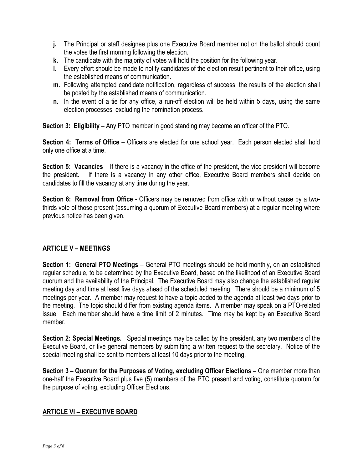- **j.** The Principal or staff designee plus one Executive Board member not on the ballot should count the votes the first morning following the election.
- **k.** The candidate with the majority of votes will hold the position for the following year.
- **l.** Every effort should be made to notify candidates of the election result pertinent to their office, using the established means of communication.
- **m.** Following attempted candidate notification, regardless of success, the results of the election shall be posted by the established means of communication.
- **n.** In the event of a tie for any office, a run-off election will be held within 5 days, using the same election processes, excluding the nomination process.

**Section 3: Eligibility** – Any PTO member in good standing may become an officer of the PTO.

**Section 4: Terms of Office** – Officers are elected for one school year. Each person elected shall hold only one office at a time.

**Section 5: Vacancies** – If there is a vacancy in the office of the president, the vice president will become the president. If there is a vacancy in any other office, Executive Board members shall decide on candidates to fill the vacancy at any time during the year.

**Section 6: Removal from Office -** Officers may be removed from office with or without cause by a twothirds vote of those present (assuming a quorum of Executive Board members) at a regular meeting where previous notice has been given.

# **ARTICLE V – MEETINGS**

**Section 1: General PTO Meetings** – General PTO meetings should be held monthly, on an established regular schedule, to be determined by the Executive Board, based on the likelihood of an Executive Board quorum and the availability of the Principal. The Executive Board may also change the established regular meeting day and time at least five days ahead of the scheduled meeting. There should be a minimum of 5 meetings per year. A member may request to have a topic added to the agenda at least two days prior to the meeting. The topic should differ from existing agenda items. A member may speak on a PTO-related issue. Each member should have a time limit of 2 minutes. Time may be kept by an Executive Board member.

**Section 2: Special Meetings.** Special meetings may be called by the president, any two members of the Executive Board, or five general members by submitting a written request to the secretary. Notice of the special meeting shall be sent to members at least 10 days prior to the meeting.

**Section 3 – Quorum for the Purposes of Voting, excluding Officer Elections** – One member more than one-half the Executive Board plus five (5) members of the PTO present and voting, constitute quorum for the purpose of voting, excluding Officer Elections.

# **ARTICLE VI – EXECUTIVE BOARD**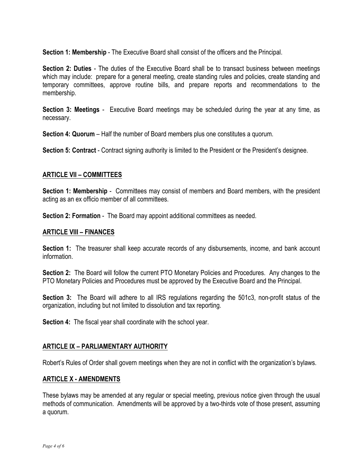**Section 1: Membership** - The Executive Board shall consist of the officers and the Principal.

**Section 2: Duties** - The duties of the Executive Board shall be to transact business between meetings which may include: prepare for a general meeting, create standing rules and policies, create standing and temporary committees, approve routine bills, and prepare reports and recommendations to the membership.

**Section 3: Meetings** - Executive Board meetings may be scheduled during the year at any time, as necessary.

**Section 4: Quorum** – Half the number of Board members plus one constitutes a quorum.

**Section 5: Contract** - Contract signing authority is limited to the President or the President's designee.

## **ARTICLE VII – COMMITTEES**

**Section 1: Membership** - Committees may consist of members and Board members, with the president acting as an ex officio member of all committees.

**Section 2: Formation** - The Board may appoint additional committees as needed.

#### **ARTICLE VIII – FINANCES**

**Section 1:** The treasurer shall keep accurate records of any disbursements, income, and bank account information.

**Section 2:** The Board will follow the current PTO Monetary Policies and Procedures. Any changes to the PTO Monetary Policies and Procedures must be approved by the Executive Board and the Principal.

**Section 3:** The Board will adhere to all IRS regulations regarding the 501c3, non-profit status of the organization, including but not limited to dissolution and tax reporting.

**Section 4:** The fiscal year shall coordinate with the school year.

## **ARTICLE IX – PARLIAMENTARY AUTHORITY**

Robert's Rules of Order shall govern meetings when they are not in conflict with the organization's bylaws.

## **ARTICLE X - AMENDMENTS**

These bylaws may be amended at any regular or special meeting, previous notice given through the usual methods of communication. Amendments will be approved by a two-thirds vote of those present, assuming a quorum.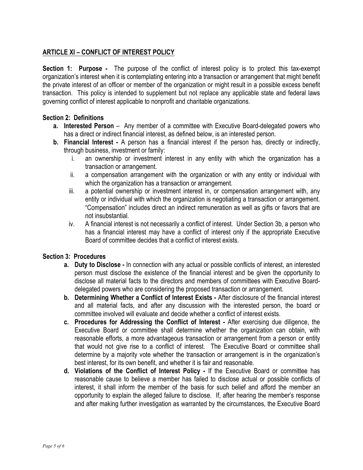# **ARTICLE XI – CONFLICT OF INTEREST POLICY**

**Section 1: Purpose -** The purpose of the conflict of interest policy is to protect this tax-exempt organization's interest when it is contemplating entering into a transaction or arrangement that might benefit the private interest of an officer or member of the organization or might result in a possible excess benefit transaction. This policy is intended to supplement but not replace any applicable state and federal laws governing conflict of interest applicable to nonprofit and charitable organizations.

## **Section 2: Definitions**

- **a. Interested Person** Any member of a committee with Executive Board-delegated powers who has a direct or indirect financial interest, as defined below, is an interested person.
- **b. Financial Interest -** A person has a financial interest if the person has, directly or indirectly, through business, investment or family:
	- i. an ownership or investment interest in any entity with which the organization has a transaction or arrangement.
	- ii. a compensation arrangement with the organization or with any entity or individual with which the organization has a transaction or arrangement.
	- iii. a potential ownership or investment interest in, or compensation arrangement with, any entity or individual with which the organization is negotiating a transaction or arrangement. "Compensation" includes direct an indirect remuneration as well as gifts or favors that are not insubstantial.
	- iv. A financial interest is not necessarily a conflict of interest. Under Section 3b, a person who has a financial interest may have a conflict of interest only if the appropriate Executive Board of committee decides that a conflict of interest exists.

## **Section 3: Procedures**

- **a. Duty to Disclose -** In connection with any actual or possible conflicts of interest, an interested person must disclose the existence of the financial interest and be given the opportunity to disclose all material facts to the directors and members of committees with Executive Boarddelegated powers who are considering the proposed transaction or arrangement.
- **b. Determining Whether a Conflict of Interest Exists -** After disclosure of the financial interest and all material facts, and after any discussion with the interested person, the board or committee involved will evaluate and decide whether a conflict of interest exists.
- **c. Procedures for Addressing the Conflict of Interest -** After exercising due diligence, the Executive Board or committee shall determine whether the organization can obtain, with reasonable efforts, a more advantageous transaction or arrangement from a person or entity that would not give rise to a conflict of interest. The Executive Board or committee shall determine by a majority vote whether the transaction or arrangement is in the organization's best interest, for its own benefit, and whether it is fair and reasonable.
- **d. Violations of the Conflict of Interest Policy -** If the Executive Board or committee has reasonable cause to believe a member has failed to disclose actual or possible conflicts of interest, it shall inform the member of the basis for such belief and afford the member an opportunity to explain the alleged failure to disclose. If, after hearing the member's response and after making further investigation as warranted by the circumstances, the Executive Board